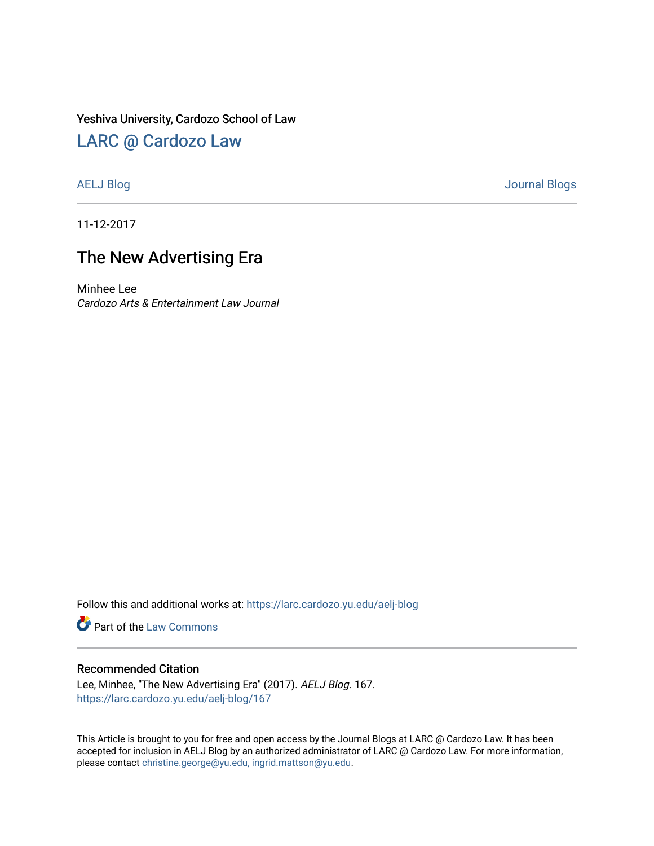### Yeshiva University, Cardozo School of Law

# [LARC @ Cardozo Law](https://larc.cardozo.yu.edu/)

[AELJ Blog](https://larc.cardozo.yu.edu/aelj-blog) [Journal Blogs](https://larc.cardozo.yu.edu/journal-blogs) 

11-12-2017

# The New Advertising Era

Minhee Lee Cardozo Arts & Entertainment Law Journal

Follow this and additional works at: [https://larc.cardozo.yu.edu/aelj-blog](https://larc.cardozo.yu.edu/aelj-blog?utm_source=larc.cardozo.yu.edu%2Faelj-blog%2F167&utm_medium=PDF&utm_campaign=PDFCoverPages) 

Part of the [Law Commons](http://network.bepress.com/hgg/discipline/578?utm_source=larc.cardozo.yu.edu%2Faelj-blog%2F167&utm_medium=PDF&utm_campaign=PDFCoverPages)

#### Recommended Citation

Lee, Minhee, "The New Advertising Era" (2017). AELJ Blog. 167. [https://larc.cardozo.yu.edu/aelj-blog/167](https://larc.cardozo.yu.edu/aelj-blog/167?utm_source=larc.cardozo.yu.edu%2Faelj-blog%2F167&utm_medium=PDF&utm_campaign=PDFCoverPages) 

This Article is brought to you for free and open access by the Journal Blogs at LARC @ Cardozo Law. It has been accepted for inclusion in AELJ Blog by an authorized administrator of LARC @ Cardozo Law. For more information, please contact [christine.george@yu.edu, ingrid.mattson@yu.edu.](mailto:christine.george@yu.edu,%20ingrid.mattson@yu.edu)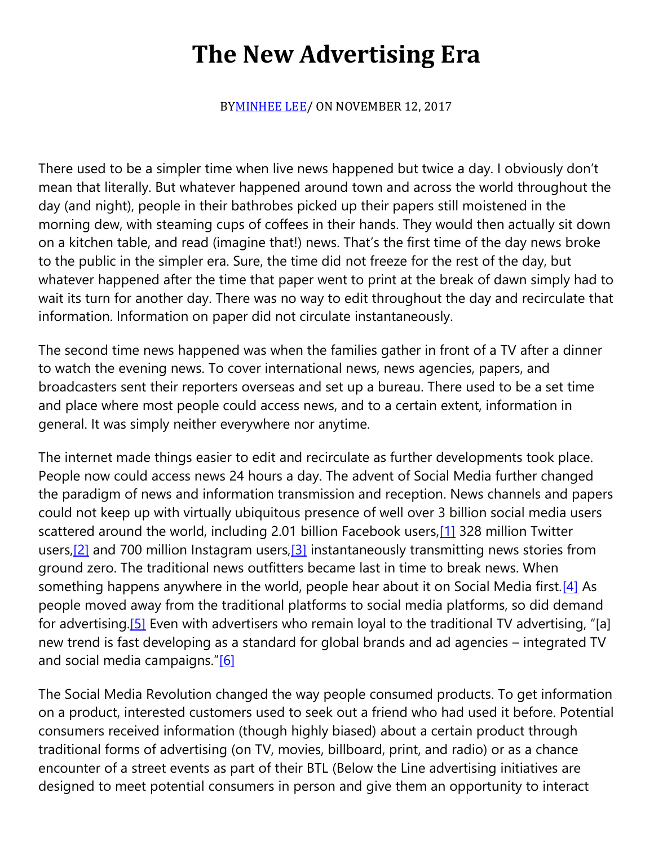# **The New Advertising Era**

B[YMINHEE LEE/](https://cardozoaelj.com/author/minheelee/) ON NOVEMBER 12, 2017

There used to be a simpler time when live news happened but twice a day. I obviously don't mean that literally. But whatever happened around town and across the world throughout the day (and night), people in their bathrobes picked up their papers still moistened in the morning dew, with steaming cups of coffees in their hands. They would then actually sit down on a kitchen table, and read (imagine that!) news. That's the first time of the day news broke to the public in the simpler era. Sure, the time did not freeze for the rest of the day, but whatever happened after the time that paper went to print at the break of dawn simply had to wait its turn for another day. There was no way to edit throughout the day and recirculate that information. Information on paper did not circulate instantaneously.

The second time news happened was when the families gather in front of a TV after a dinner to watch the evening news. To cover international news, news agencies, papers, and broadcasters sent their reporters overseas and set up a bureau. There used to be a set time and place where most people could access news, and to a certain extent, information in general. It was simply neither everywhere nor anytime.

The internet made things easier to edit and recirculate as further developments took place. People now could access news 24 hours a day. The advent of Social Media further changed the paradigm of news and information transmission and reception. News channels and papers could not keep up with virtually ubiquitous presence of well over 3 billion social media users scattered around the world, including 2.01 billion Facebook users[,\[1\]](https://cardozoaelj.com/2017/11/12/new-advertising-era/#_ftn1) 328 million Twitter users,  $[2]$  and 700 million Instagram users,  $[3]$  instantaneously transmitting news stories from ground zero. The traditional news outfitters became last in time to break news. When something happens anywhere in the world, people hear about it on Social Media first.<sup>[4]</sup> As people moved away from the traditional platforms to social media platforms, so did demand for advertising[.\[5\]](https://cardozoaelj.com/2017/11/12/new-advertising-era/#_ftn5) Even with advertisers who remain loyal to the traditional TV advertising, "[a] new trend is fast developing as a standard for global brands and ad agencies – integrated TV and social media campaigns."[\[6\]](https://cardozoaelj.com/2017/11/12/new-advertising-era/#_ftn6)

The Social Media Revolution changed the way people consumed products. To get information on a product, interested customers used to seek out a friend who had used it before. Potential consumers received information (though highly biased) about a certain product through traditional forms of advertising (on TV, movies, billboard, print, and radio) or as a chance encounter of a street events as part of their BTL (Below the Line advertising initiatives are designed to meet potential consumers in person and give them an opportunity to interact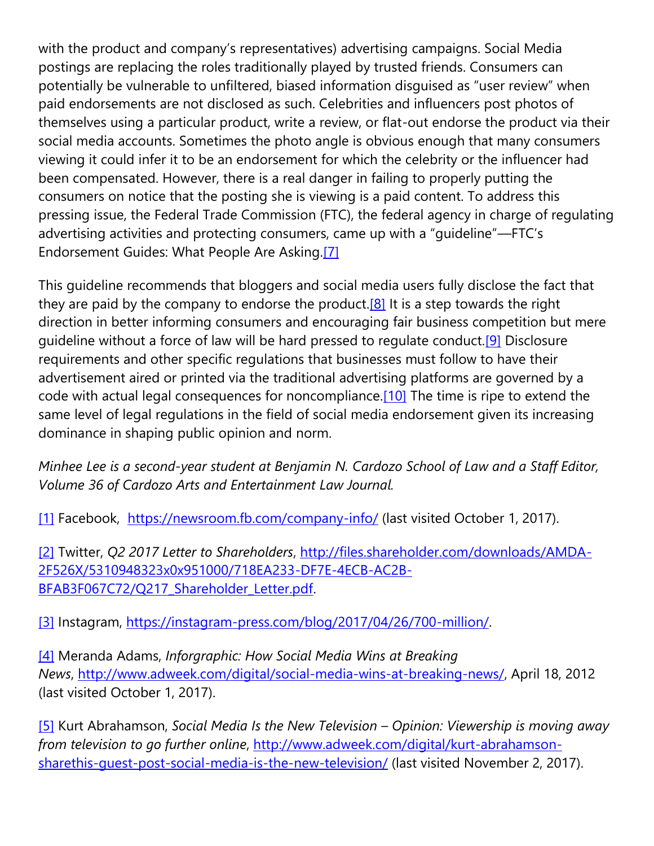with the product and company's representatives) advertising campaigns. Social Media postings are replacing the roles traditionally played by trusted friends. Consumers can potentially be vulnerable to unfiltered, biased information disguised as "user review" when paid endorsements are not disclosed as such. Celebrities and influencers post photos of themselves using a particular product, write a review, or flat-out endorse the product via their social media accounts. Sometimes the photo angle is obvious enough that many consumers viewing it could infer it to be an endorsement for which the celebrity or the influencer had been compensated. However, there is a real danger in failing to properly putting the consumers on notice that the posting she is viewing is a paid content. To address this pressing issue, the Federal Trade Commission (FTC), the federal agency in charge of regulating advertising activities and protecting consumers, came up with a "guideline"—FTC's Endorsement Guides: What People Are Asking[.\[7\]](https://cardozoaelj.com/2017/11/12/new-advertising-era/#_ftn7)

This guideline recommends that bloggers and social media users fully disclose the fact that they are paid by the company to endorse the product.<sup>[8]</sup> It is a step towards the right direction in better informing consumers and encouraging fair business competition but mere guideline without a force of law will be hard pressed to regulate conduct[.\[9\]](https://cardozoaelj.com/2017/11/12/new-advertising-era/#_ftn9) Disclosure requirements and other specific regulations that businesses must follow to have their advertisement aired or printed via the traditional advertising platforms are governed by a code with actual legal consequences for noncompliance[.\[10\]](https://cardozoaelj.com/2017/11/12/new-advertising-era/#_ftn10) The time is ripe to extend the same level of legal regulations in the field of social media endorsement given its increasing dominance in shaping public opinion and norm.

*Minhee Lee is a second-year student at Benjamin N. Cardozo School of Law and a Staff Editor, Volume 36 of Cardozo Arts and Entertainment Law Journal.*

[\[1\]](https://cardozoaelj.com/2017/11/12/new-advertising-era/#_ftnref1) Facebook, <https://newsroom.fb.com/company-info/> (last visited October 1, 2017).

[\[2\]](https://cardozoaelj.com/2017/11/12/new-advertising-era/#_ftnref2) Twitter, *Q2 2017 Letter to Shareholders*, [http://files.shareholder.com/downloads/AMDA-](http://files.shareholder.com/downloads/AMDA-2F526X/5310948323x0x951000/718EA233-DF7E-4ECB-AC2B-BFAB3F067C72/Q217_Shareholder_Letter.pdf)[2F526X/5310948323x0x951000/718EA233-DF7E-4ECB-AC2B-](http://files.shareholder.com/downloads/AMDA-2F526X/5310948323x0x951000/718EA233-DF7E-4ECB-AC2B-BFAB3F067C72/Q217_Shareholder_Letter.pdf)[BFAB3F067C72/Q217\\_Shareholder\\_Letter.pdf.](http://files.shareholder.com/downloads/AMDA-2F526X/5310948323x0x951000/718EA233-DF7E-4ECB-AC2B-BFAB3F067C72/Q217_Shareholder_Letter.pdf)

[\[3\]](https://cardozoaelj.com/2017/11/12/new-advertising-era/#_ftnref3) Instagram, [https://instagram-press.com/blog/2017/04/26/700-million/.](https://instagram-press.com/blog/2017/04/26/700-million/)

[\[4\]](https://cardozoaelj.com/2017/11/12/new-advertising-era/#_ftnref4) Meranda Adams, *Inforgraphic: How Social Media Wins at Breaking News*, [http://www.adweek.com/digital/social-media-wins-at-breaking-news/,](http://www.adweek.com/digital/social-media-wins-at-breaking-news/) April 18, 2012 (last visited October 1, 2017).

[\[5\]](https://cardozoaelj.com/2017/11/12/new-advertising-era/#_ftnref5) Kurt Abrahamson, *Social Media Is the New Television – Opinion: Viewership is moving away from television to go further online*, [http://www.adweek.com/digital/kurt-abrahamson](http://www.adweek.com/digital/kurt-abrahamson-sharethis-guest-post-social-media-is-the-new-television/)[sharethis-guest-post-social-media-is-the-new-television/](http://www.adweek.com/digital/kurt-abrahamson-sharethis-guest-post-social-media-is-the-new-television/) (last visited November 2, 2017).